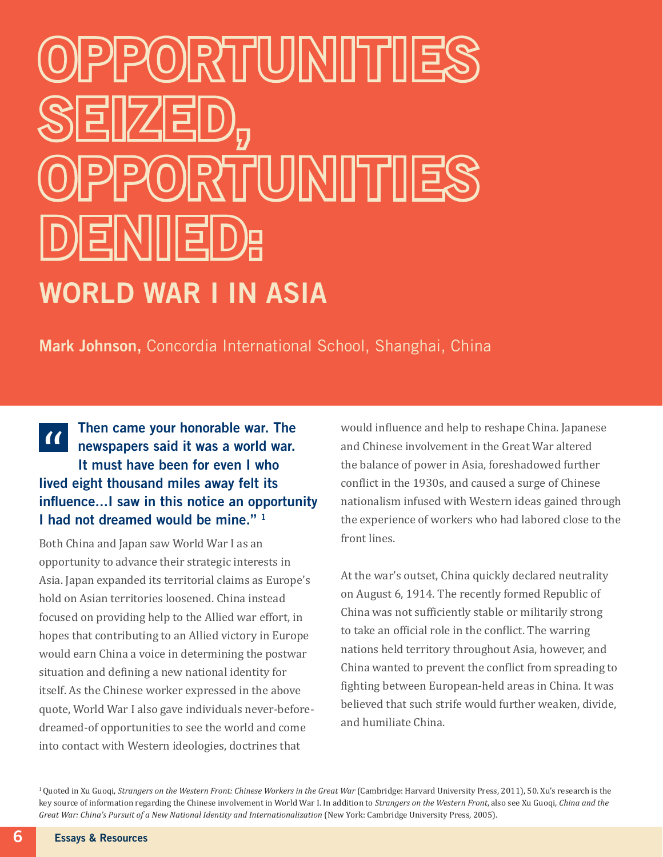## PORTUINIITIE SEIZED, ORTUNITIE D)E|N||||E WORLD WAR I IN ASIA

Mark Johnson, Concordia International School, Shanghai, China

Then came your honorable war. The  $\alpha$ newspapers said it was a world war. It must have been for even I who lived eight thousand miles away felt its influence...I saw in this notice an opportunity I had not dreamed would be mine." 1

Both China and Japan saw World War I as an opportunity to advance their strategic interests in Asia. Japan expanded its territorial claims as Europe's hold on Asian territories loosened. China instead focused on providing help to the Allied war effort, in hopes that contributing to an Allied victory in Europe would earn China a voice in determining the postwar situation and defining a new national identity for itself. As the Chinese worker expressed in the above quote, World War I also gave individuals never-beforedreamed-of opportunities to see the world and come into contact with Western ideologies, doctrines that

would influence and help to reshape China. Japanese and Chinese involvement in the Great War altered the balance of power in Asia, foreshadowed further conflict in the 1930s, and caused a surge of Chinese nationalism infused with Western ideas gained through the experience of workers who had labored close to the front lines.

At the war's outset, China quickly declared neutrality on August 6, 1914. The recently formed Republic of China was not sufficiently stable or militarily strong to take an official role in the conflict. The warring nations held territory throughout Asia, however, and China wanted to prevent the conflict from spreading to fighting between European-held areas in China. It was believed that such strife would further weaken, divide, and humiliate China.

1 Quoted in Xu Guoqi, *Strangers on the Western Front: Chinese Workers in the Great War* (Cambridge: Harvard University Press, 2011), 50. Xu's research is the key source of information regarding the Chinese involvement in World War I. In addition to *Strangers on the Western Front*, also see Xu Guoqi, *China and the Great War: China's Pursuit of a New National Identity and Internationalization* (New York: Cambridge University Press, 2005).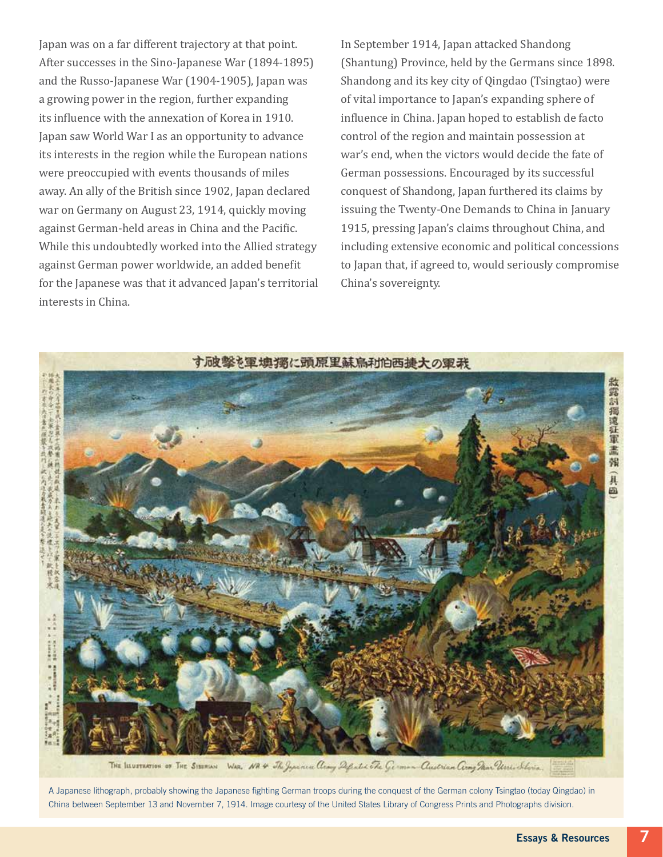Japan was on a far different trajectory at that point. After successes in the Sino-Japanese War (1894-1895) and the Russo-Japanese War (1904-1905), Japan was a growing power in the region, further expanding its influence with the annexation of Korea in 1910. Japan saw World War I as an opportunity to advance its interests in the region while the European nations were preoccupied with events thousands of miles away. An ally of the British since 1902, Japan declared war on Germany on August 23, 1914, quickly moving against German-held areas in China and the Pacific. While this undoubtedly worked into the Allied strategy against German power worldwide, an added benefit for the Japanese was that it advanced Japan's territorial interests in China.

In September 1914, Japan attacked Shandong (Shantung) Province, held by the Germans since 1898. Shandong and its key city of Qingdao (Tsingtao) were of vital importance to Japan's expanding sphere of influence in China. Japan hoped to establish de facto control of the region and maintain possession at war's end, when the victors would decide the fate of German possessions. Encouraged by its successful conquest of Shandong, Japan furthered its claims by issuing the Twenty-One Demands to China in January 1915, pressing Japan's claims throughout China, and including extensive economic and political concessions to Japan that, if agreed to, would seriously compromise China's sovereignty.



A Japanese lithograph, probably showing the Japanese fighting German troops during the conquest of the German colony Tsingtao (today Qingdao) in China between September 13 and November 7, 1914. Image courtesy of the United States Library of Congress Prints and Photographs division.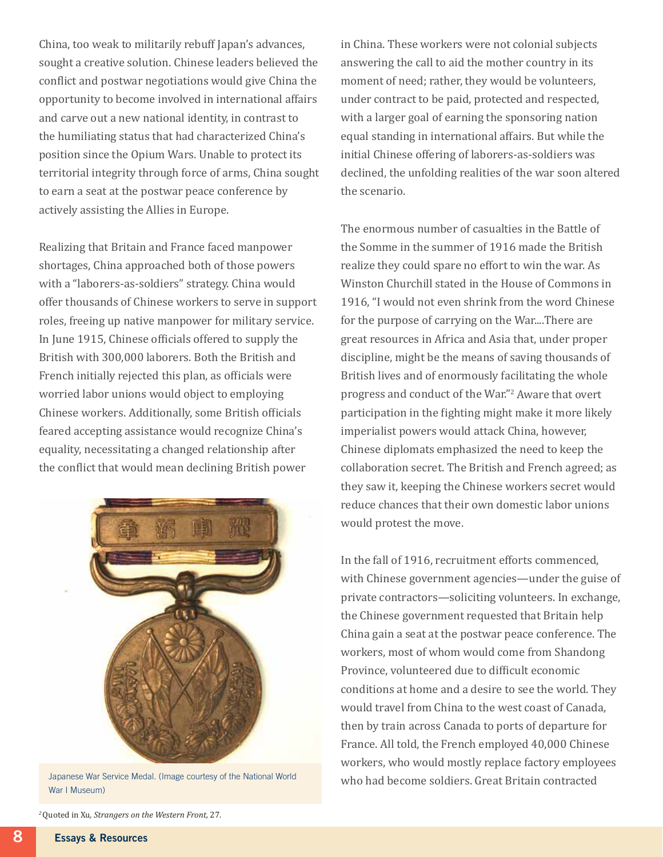China, too weak to militarily rebuff Japan's advances, sought a creative solution. Chinese leaders believed the conflict and postwar negotiations would give China the opportunity to become involved in international affairs and carve out a new national identity, in contrast to the humiliating status that had characterized China's position since the Opium Wars. Unable to protect its territorial integrity through force of arms, China sought to earn a seat at the postwar peace conference by actively assisting the Allies in Europe.

Realizing that Britain and France faced manpower shortages, China approached both of those powers with a "laborers-as-soldiers" strategy. China would offer thousands of Chinese workers to serve in support roles, freeing up native manpower for military service. In June 1915, Chinese officials offered to supply the British with 300,000 laborers. Both the British and French initially rejected this plan, as officials were worried labor unions would object to employing Chinese workers. Additionally, some British officials feared accepting assistance would recognize China's equality, necessitating a changed relationship after the conflict that would mean declining British power



Japanese War Service Medal. (Image courtesy of the National World War I Museum)

in China. These workers were not colonial subjects answering the call to aid the mother country in its moment of need; rather, they would be volunteers, under contract to be paid, protected and respected, with a larger goal of earning the sponsoring nation equal standing in international affairs. But while the initial Chinese offering of laborers-as-soldiers was declined, the unfolding realities of the war soon altered the scenario.

The enormous number of casualties in the Battle of the Somme in the summer of 1916 made the British realize they could spare no effort to win the war. As Winston Churchill stated in the House of Commons in 1916, "I would not even shrink from the word Chinese for the purpose of carrying on the War....There are great resources in Africa and Asia that, under proper discipline, might be the means of saving thousands of British lives and of enormously facilitating the whole progress and conduct of the War."2 Aware that overt participation in the fighting might make it more likely imperialist powers would attack China, however, Chinese diplomats emphasized the need to keep the collaboration secret. The British and French agreed; as they saw it, keeping the Chinese workers secret would reduce chances that their own domestic labor unions would protest the move.

In the fall of 1916, recruitment efforts commenced, with Chinese government agencies—under the guise of private contractors—soliciting volunteers. In exchange, the Chinese government requested that Britain help China gain a seat at the postwar peace conference. The workers, most of whom would come from Shandong Province, volunteered due to difficult economic conditions at home and a desire to see the world. They would travel from China to the west coast of Canada, then by train across Canada to ports of departure for France. All told, the French employed 40,000 Chinese workers, who would mostly replace factory employees who had become soldiers. Great Britain contracted

*<sup>2</sup>*Quoted in Xu*, Strangers on the Western Front,* 27*.*